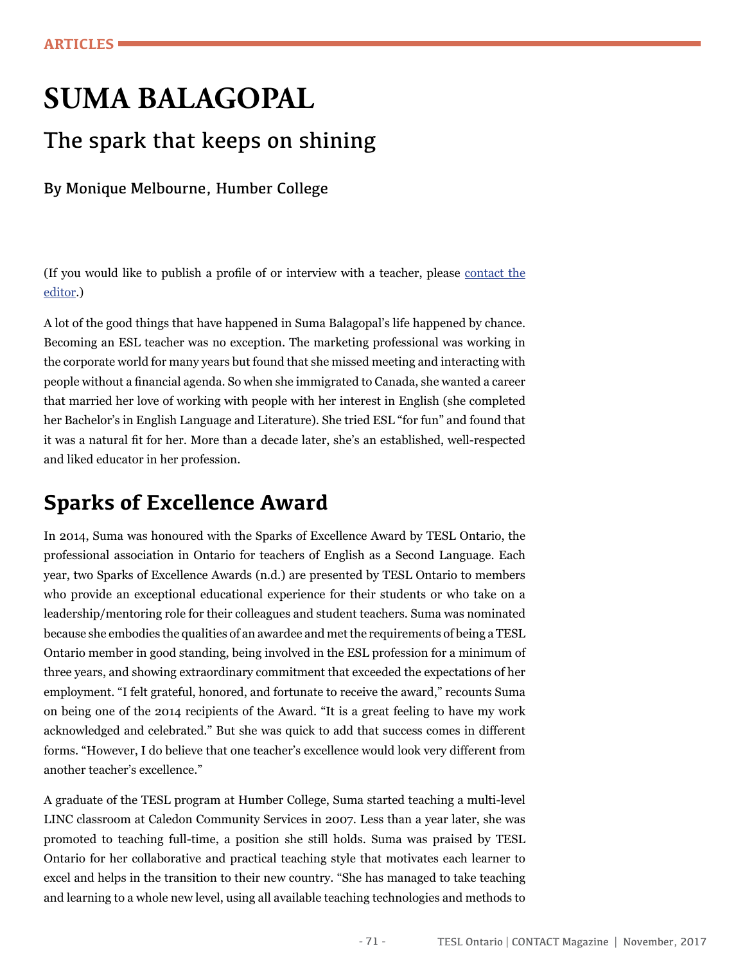# **SUMA BALAGOPAL**

### The spark that keeps on shining

By Monique Melbourne, Humber College

(If you would like to publish a profle of or interview with a teacher, please [contact the](mailto:editor@teslontario.org)  [editor](mailto:editor@teslontario.org).)

A lot of the good things that have happened in Suma Balagopal's life happened by chance. Becoming an ESL teacher was no exception. The marketing professional was working in the corporate world for many years but found that she missed meeting and interacting with people without a fnancial agenda. So when she immigrated to Canada, she wanted a career that married her love of working with people with her interest in English (she completed her Bachelor's in English Language and Literature). She tried ESL "for fun" and found that it was a natural ft for her. More than a decade later, she's an established, well-respected and liked educator in her profession.

### **Sparks of Excellence Award**

In 2014, Suma was honoured with the Sparks of Excellence Award by TESL Ontario, the professional association in Ontario for teachers of English as a Second Language. Each year, two Sparks of Excellence Awards (n.d.) are presented by TESL Ontario to members who provide an exceptional educational experience for their students or who take on a leadership/mentoring role for their colleagues and student teachers. Suma was nominated because she embodies the qualities of an awardee and met the requirements of being a TESL Ontario member in good standing, being involved in the ESL profession for a minimum of three years, and showing extraordinary commitment that exceeded the expectations of her employment. "I felt grateful, honored, and fortunate to receive the award," recounts Suma on being one of the 2014 recipients of the Award. "It is a great feeling to have my work acknowledged and celebrated." But she was quick to add that success comes in different forms. "However, I do believe that one teacher's excellence would look very different from another teacher's excellence."

A graduate of the TESL program at Humber College, Suma started teaching a multi-level LINC classroom at Caledon Community Services in 2007. Less than a year later, she was promoted to teaching full-time, a position she still holds. Suma was praised by TESL Ontario for her collaborative and practical teaching style that motivates each learner to excel and helps in the transition to their new country. "She has managed to take teaching and learning to a whole new level, using all available teaching technologies and methods to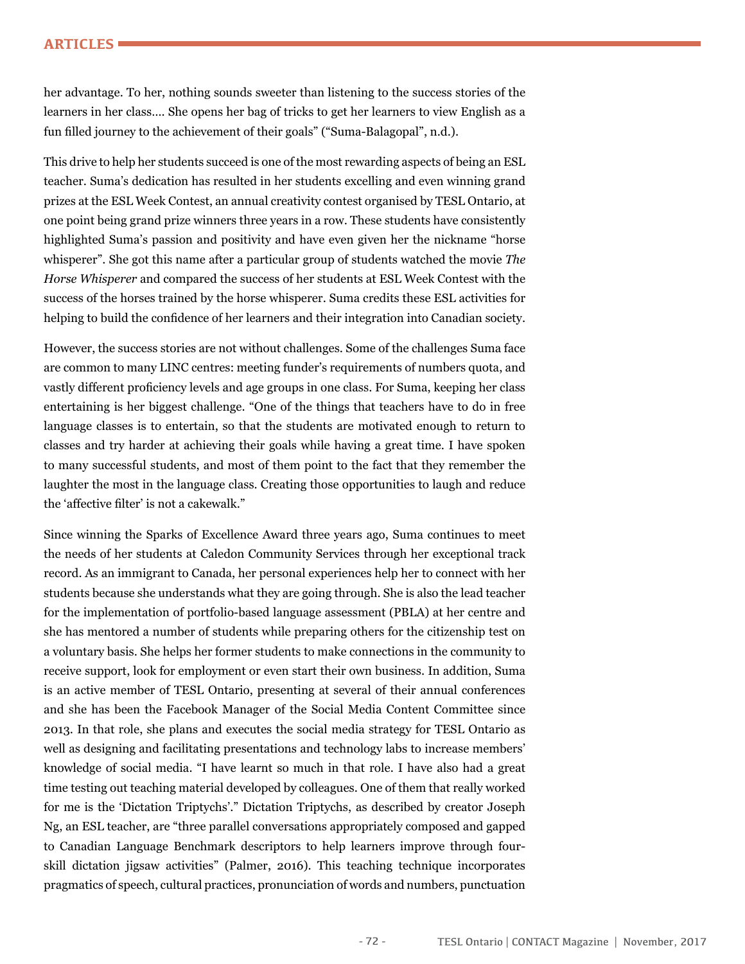#### **ARTICLES**

her advantage. To her, nothing sounds sweeter than listening to the success stories of the learners in her class…. She opens her bag of tricks to get her learners to view English as a fun flled journey to the achievement of their goals" ("Suma-Balagopal", n.d.).

This drive to help her students succeed is one of the most rewarding aspects of being an ESL teacher. Suma's dedication has resulted in her students excelling and even winning grand prizes at the ESL Week Contest, an annual creativity contest organised by TESL Ontario, at one point being grand prize winners three years in a row. These students have consistently highlighted Suma's passion and positivity and have even given her the nickname "horse whisperer". She got this name after a particular group of students watched the movie *The Horse Whisperer* and compared the success of her students at ESL Week Contest with the success of the horses trained by the horse whisperer. Suma credits these ESL activities for helping to build the confdence of her learners and their integration into Canadian society.

However, the success stories are not without challenges. Some of the challenges Suma face are common to many LINC centres: meeting funder's requirements of numbers quota, and vastly different profciency levels and age groups in one class. For Suma, keeping her class entertaining is her biggest challenge. "One of the things that teachers have to do in free language classes is to entertain, so that the students are motivated enough to return to classes and try harder at achieving their goals while having a great time. I have spoken to many successful students, and most of them point to the fact that they remember the laughter the most in the language class. Creating those opportunities to laugh and reduce the 'affective flter' is not a cakewalk."

Since winning the Sparks of Excellence Award three years ago, Suma continues to meet the needs of her students at Caledon Community Services through her exceptional track record. As an immigrant to Canada, her personal experiences help her to connect with her students because she understands what they are going through. She is also the lead teacher for the implementation of portfolio-based language assessment (PBLA) at her centre and she has mentored a number of students while preparing others for the citizenship test on a voluntary basis. She helps her former students to make connections in the community to receive support, look for employment or even start their own business. In addition, Suma is an active member of TESL Ontario, presenting at several of their annual conferences and she has been the Facebook Manager of the Social Media Content Committee since 2013. In that role, she plans and executes the social media strategy for TESL Ontario as well as designing and facilitating presentations and technology labs to increase members' knowledge of social media. "I have learnt so much in that role. I have also had a great time testing out teaching material developed by colleagues. One of them that really worked for me is the 'Dictation Triptychs'." Dictation Triptychs, as described by creator Joseph Ng, an ESL teacher, are "three parallel conversations appropriately composed and gapped to Canadian Language Benchmark descriptors to help learners improve through fourskill dictation jigsaw activities" (Palmer, 2016). This teaching technique incorporates pragmatics of speech, cultural practices, pronunciation of words and numbers, punctuation